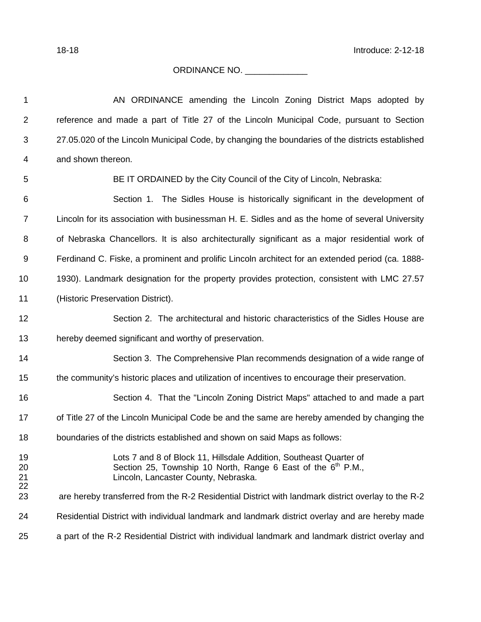## ORDINANCE NO. \_\_\_\_\_\_\_\_\_\_\_\_\_

| 1              | AN ORDINANCE amending the Lincoln Zoning District Maps adopted by                                                                                                            |
|----------------|------------------------------------------------------------------------------------------------------------------------------------------------------------------------------|
| $\overline{2}$ | reference and made a part of Title 27 of the Lincoln Municipal Code, pursuant to Section                                                                                     |
| $\mathfrak{B}$ | 27.05.020 of the Lincoln Municipal Code, by changing the boundaries of the districts established                                                                             |
| 4              | and shown thereon.                                                                                                                                                           |
| 5              | BE IT ORDAINED by the City Council of the City of Lincoln, Nebraska:                                                                                                         |
| 6              | Section 1. The Sidles House is historically significant in the development of                                                                                                |
| $\overline{7}$ | Lincoln for its association with businessman H. E. Sidles and as the home of several University                                                                              |
| 8              | of Nebraska Chancellors. It is also architecturally significant as a major residential work of                                                                               |
| 9              | Ferdinand C. Fiske, a prominent and prolific Lincoln architect for an extended period (ca. 1888-                                                                             |
| 10             | 1930). Landmark designation for the property provides protection, consistent with LMC 27.57                                                                                  |
| 11             | (Historic Preservation District).                                                                                                                                            |
| 12             | Section 2. The architectural and historic characteristics of the Sidles House are                                                                                            |
| 13             | hereby deemed significant and worthy of preservation.                                                                                                                        |
| 14             | Section 3. The Comprehensive Plan recommends designation of a wide range of                                                                                                  |
| 15             | the community's historic places and utilization of incentives to encourage their preservation.                                                                               |
| 16             | Section 4. That the "Lincoln Zoning District Maps" attached to and made a part                                                                                               |
| 17             | of Title 27 of the Lincoln Municipal Code be and the same are hereby amended by changing the                                                                                 |
| 18             | boundaries of the districts established and shown on said Maps as follows:                                                                                                   |
| 19<br>20<br>21 | Lots 7 and 8 of Block 11, Hillsdale Addition, Southeast Quarter of<br>Section 25, Township 10 North, Range 6 East of the $6th$ P.M.,<br>Lincoln, Lancaster County, Nebraska. |
| 22<br>23       | are hereby transferred from the R-2 Residential District with landmark district overlay to the R-2                                                                           |
| 24             | Residential District with individual landmark and landmark district overlay and are hereby made                                                                              |
| 25             | a part of the R-2 Residential District with individual landmark and landmark district overlay and                                                                            |